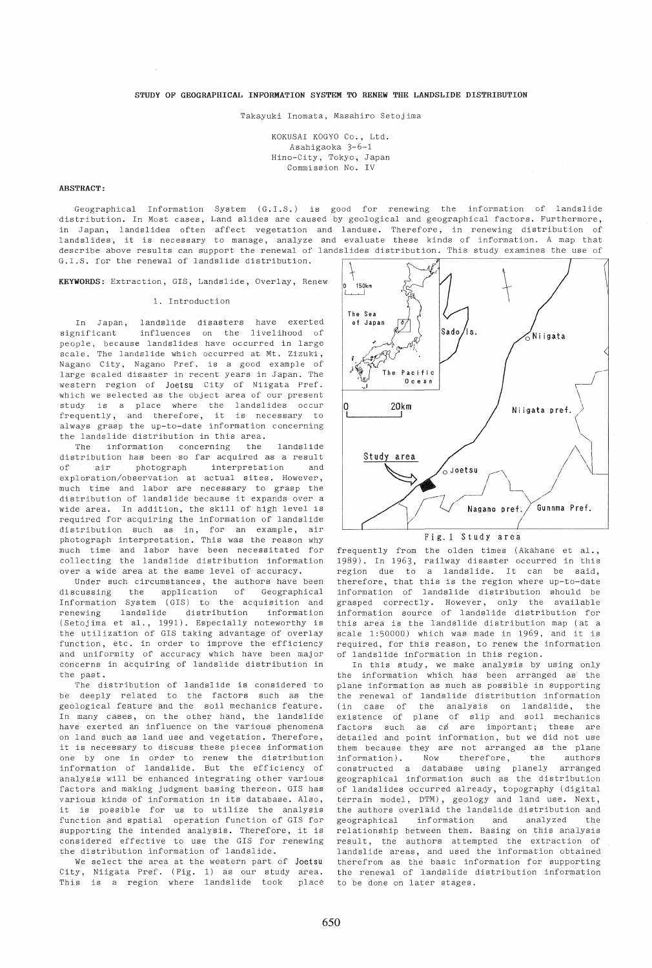### STUDY OF GEOGRAPHICAL INFORMATION SYSTEM TO RENEW THE LANDSLIDE DISTRIBUTION

Takayuki Inomata, Masahiro Setojima

KOKUSAI KOGYO Co., Ltd. Asahigaoka 3-6-1 Hino-City, Tokyo, Japan Commission No. IV

#### ABSTRACT:

Geographical Information System (G.I.S.) is good for renewing the information of landslide distribution. In Most cases, Land slides are caused by geological and geographical factors. Furthermore, in Japan, landslides often affect vegetation and landuse. Therefore, in renewing distribution of landslides, it is necessary to manage, analyze and evaluate these kinds of information. A map that describe above results can support the renewal of landslides distribution. This study examines the use of G.I.S. for the renewal of landslide distribution.

KEYWORDS: Extraction, GIS, Landslide, Overlay, Renew

#### 1. Introduction

In Japan, landslide disasters have exerted significant influences on the livelihood of people, because landslides have oc curred in large scale. The landslide which occurred at Mt. Zizuki, Nagano City, Nagano Pref. is a good example of large scaled disaster in recent years in Japan. The western region of Joetsu City of Niigata Pref. which we selected as the object area of our present study is a place where the landslides occur frequently, and therefore, it is necessary to always grasp the up-to-date information concerning the landslide distribution in this area.

The information concerning the landslide distribution has been so far acquired as a result of air photograph interpretation and exploration/observation at actual sites. However, much time and labor are necessary to grasp the distribution of landslide because it expands over a wide area. In addition, the skill of high level is required for acquiring the information of landslide distribution such as in, for an example, air photograph interpretation. This was the reason why much time and labor have been necessitated for collecting the landslide distribution information over a wide area at the same level of accuracy.

Under such circumstances, the authors have been discussing the application of Geographical Information System (GIS) to the acquisition and renewing landslide distribution information (Setojima et al., 1991). Especially noteworthy is the utilization of GIS taking advantage of overlay function, etc. in order to improve the efficiency and uniformity of accuracy which have been major concerns in acquiring of landslide distribution in the past.

.<br>The distribution of landslide is considered to be deeply related to the factors such as the geological feature and the soil mechanics feature. In many cases, on the other hand, the landslide have exerted an influence on the various phenomena on land such as land use and vegetation. Therefore, it is necessary to discuss these pieces information one by one in order to renew the distribution information of landslide. But the efficiency of analysis will be enhanced integrating other various factors and making judgment basing thereon. GIS has various kinds of information in its database. Also, it is possible for us to utilize the analysis function and spatial operation function of GIS for supporting the intended analysis. Therefore, it is considered effective to use the GIS for renewing the distribution information of landslide.

We select the area at the western part of Joetsu City, Niigata Pref. (Fig. 1) as our study area. This is a region where landslide took place



Fig.l Study area

frequently from the olden times (Akahane et al., 1989). In 1963, railway disaster occurred in this region due to a landslide. It can be said, therefore, that this is the region where up-to-date information of landslide distribution should be grasped correctly. However, only the available information source of landslide distribution for this area is the landslide distribution map (at a scale 1: 50000) which was made in 1969, and it is required, for this reason, to renew the information of landslide information in this region.

In this study, we make analysis by using only the information which has been arranged as the plane information as much as possible in supporting the renewal of landslide distribution information (in case of the analysis on landslide, the existence of plane of slip and soil mechanics factors such as cø are important; these are detailed and point information, but we did not use them because they are not arranged as the plane<br>information). Now therefore, the authors information). Now therefore, the authors constructed a database using planely arranged geographical information such as the distribution of landslides occurred already, topography (digital terrain model, DTM) , geology and land use. Next, the authors overlaid the landslide distribution and<br>geographical information and analyzed the geographical information and analyzed the relationship between them. Basing on this analysis result, the authors attempted the extraction of landslide areas, and used the information obtained therefrom as the basic information for supporting the renewal of landslide distribution information to be done on later stages.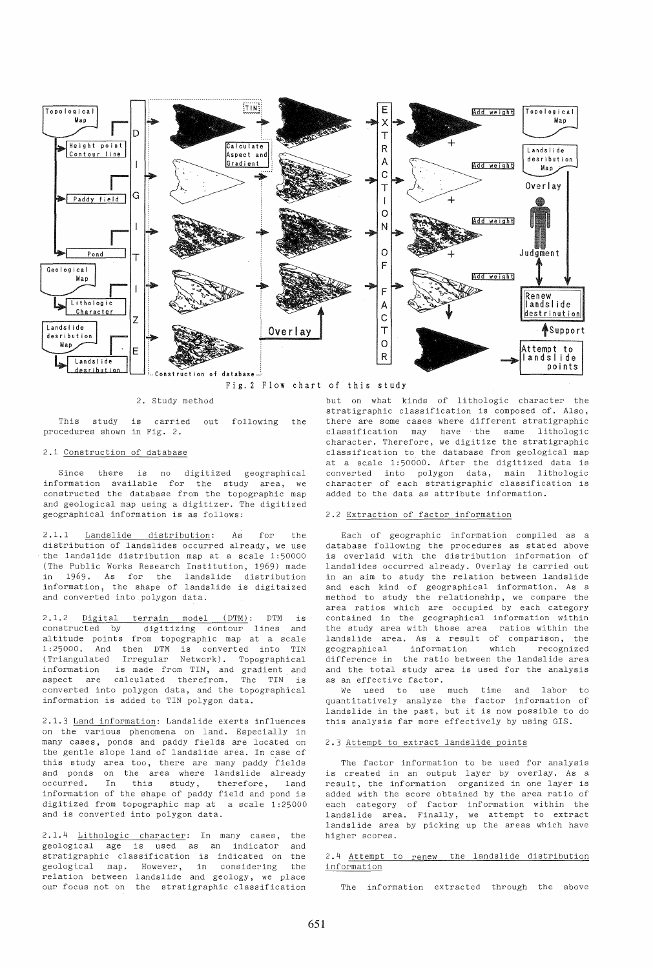

2. Study method

This study is carried out following the procedures shown in Fig. 2.

# 2.1 Construction of database

Since there is no digitized geographical information available for the study area, we constructed the database from the topographic map and geological map using a digitizer. The digitized geographical information is as follows:

2.1. 1 Landslide distribution: As for the distribution of landslides occurred already, we use the landslide distribution map at a scale 1: 50000 (The Public Works Research Institution, 1969) made in 1969. As for the landslide distribution information, the shape of landslide is digitaized and converted into polygon data.

2.1.2 <u>Digital terrain model (DTM)</u>: DTM is<br>constructed by digitizing contour lines and digitizing contour lines and altitude points from topographic map at a scale 1: 25000. And then DTM is converted into TIN (Triangulated Irregular Network). Topographical information is made from TIN, and gradient and aspect are calculated therefrom. The TIN is converted into polygon data, and the topographical information is added to TIN polygon data.

2.1.3 Land information: Landslide exerts influences on the various phenomena on land. Especially in many cases, ponds and paddy fields are located on the gentle slope land of landslide area. In case of this study area too, there are many paddy fields and ponds on the area where landslide already occurred. In this study, therefore, land information of the shape of paddy field and pond is digitized from topographic map at a scale 1:25000 and is converted into polygon data.

2.1.4 Lithologic character: In many cases, the geological age is used as an indicator and stratigraphic classification is indicated on the geological map. However, in considering the relation between landslide and geology, we place our focus not on the stratigraphic classification

but on what kinds of lithologic character the stratigraphic classification is composed of. Also, there are some cases where different stratigraphic classification may have the same lithologic character. Therefore, we digitize the stratigraphie classification to the database from geological map at a scale 1:50000. After the digitized data is converted into polygon data, main lithologic character of each stratigraphic' classification is added to the data as attribute information.

#### 2.2 Extraction of factor information

Each of geographic information compiled as a database following the procedures as stated above is overlaid with the distribution information of landslides occurred already. Overlay is carried out in an aim to study the relation between landslide and each kind of geographical information. As a method to study the relationship, we compare the area ratios which are occupied by each category contained in the geographical information within the study area with those area ratios within the landslide area. As a result of comparison, the geographical information which recognized difference in the ratio between the landslide area and the total study area is used for the analysis as an effective factor.

We used to use much time and labor to quantitatively analyze the factor information of landslide in the past, but it is now possible to do this analysis far more effectively by using GIS.

#### 2.3 Attempt to extract landslide points

The factor information to be used for analysis is created in an output layer by overlay. As a result, the information organized in one layer is added with the score obtained by the area ratio of each category of factor information within the landslide area. Finally, we attempt to extract landslide area by picking up the areas which have higher scores.

### 2.4 Attempt to renew the landslide distribution information

The information extracted through the above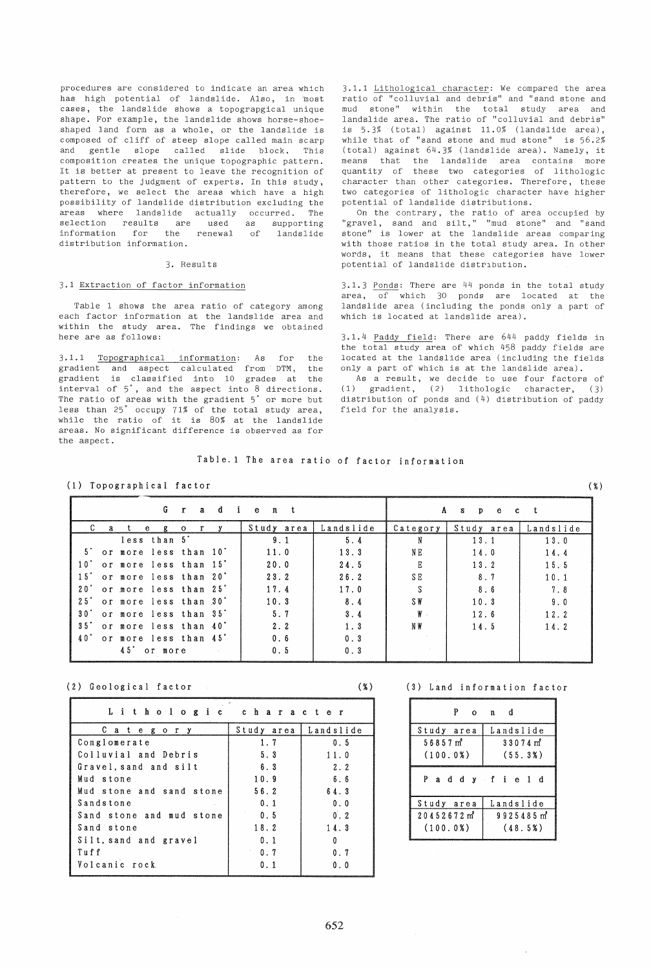procedures are considered to indicate an area which has high potential of landslide. Also, in 'most cases, the landslide shows a topograpgical unique shape. For example, the landslide shows horse-shoeshaped land form as a whole, or the landslide is composed of cliff of steep slope called main scarp and gentle slope called slide block. This composition creates the unique topographic pattern. It is better at present to leave the recognition of pattern to the judgment of experts. In this study, therefore, we select the areas which have a high possibility of landslide distribution excluding the areas where landslide actually occurred. The<br>selection results are used as supporting selection results are used information for the renewal of landslide distribution information.

#### 3. Results

# 3.1 Extraction of factor information

Table 1 shows the area ratio of category among each factor information at the landslide area and within the study area. The findings we obtained here are as follows:

3.1.1 Topographical information: As for the gradient and aspect calculated from DTM, the gradient is classified into 10 grades at the interval of 5', and the aspect into 8 directions. The ratio of areas with the gradient 5' or more but less than 25' occupy 71% of the total study area, while the ratio of it is 80% at the landslide areas. No significant difference is observed as for the aspect.

3.1.1 Lithological character: We compared the area ratio of "colluvial and debris" and "sand stone and mud stone" within the total study area and landslide area. The ratio of "colluvial and debris" is 5.3% (total) against 11. 0% (landslide area), while that of "sand stone and mud stone" is 56.2% (total) against 64.3% (landslide area). Namely, it means that the landslide area contains more quantity of these two categories of lithologic character than other categories. Therefore, these two categories of lithologic character have higher potential of landslide distributions.

On the contrary, the ratio of area occupied by "gravel, sand and silt," "mud stone" and "sand stone" is lower at the landslide areas comparing with those ratios in the total study area. In other words, it means that these categories have lower potential of landslide distribution.

3.1.3 Ponds: There are 44 ponds in the total study area, of which 30 ponds are located at the landslide area (including the ponds only a part of which is located at landslide area).

3.1.4 Paddy field: There are 644 paddy fields in the total study area of which 458 paddy fields are located at the landslide area (including the fields only a part of which is at the landslide area).

As a result, we decide to use four factors of (1) gradient, (2) lithologic character, (3) distribution of ponds and (4) distribution of paddy field for the analysis.

# Table. 1 The area ratio of factor information

(1) Topographical factor (%)

| Gradient                                             |            |           | A<br>s p<br>e.<br>c. |            |           |
|------------------------------------------------------|------------|-----------|----------------------|------------|-----------|
| $\mathbf{a}$<br>v<br>e<br>R.<br>$\Omega$             | Study area | Landslide | Category             | Study area | Landslide |
| less than 5 <sup>°</sup>                             | 9.1        | 5.4       | N                    | 13.1       | 13.0      |
| 5° or more less than 10°                             | 11.0       | 13.3      | N E                  | 14.0       | 14.4      |
| $10^{\circ}$<br>or more less than 15 <sup>°</sup>    | 20.0       | 24.5      | R                    | 13.2       | 15.5      |
| 15 <sup>°</sup><br>or more less than 20 <sup>°</sup> | 23.2       | 26.2      | SE <sub></sub>       | 8.7        | 10.1      |
| $20^{\degree}$<br>or more less than 25°              | 17.4       | 17.0      |                      | 8.6        | 7.8       |
| 2.5<br>or more less than 30°                         | 10.3       | 8.4       | SW                   | 10.3       | 9.0       |
| 30 <sup>°</sup><br>or more less than 35°             | 5.7        | 3.4       | ₩.                   | 12.6       | 12.2      |
| $35^{\circ}$<br>or more less than 40°                | 2.2        | 1.3       | N W                  | 14.5       | 14.2      |
| 40°<br>or more less than 45°                         | 0.6        | 0.3       |                      |            |           |
| 45<br>or more                                        | 0.5        | 0.3       |                      |            |           |

| Lithologic character     |            |              |                         | Pond                   |
|--------------------------|------------|--------------|-------------------------|------------------------|
| Category                 | Study area | Landslide    | Study area              | Landslide              |
| Conglomerate             | 1.7        | 0.5          | $56857 \text{ m}^2$     | 33074m <sup>2</sup>    |
| Colluvial and Debris     | 5.3        | 11.0         | (100.0%                 | (55.3%)                |
| Gravel.sand and silt     | 6.3        | 2.2          |                         |                        |
| Mud stone                | 10.9       | 6.6          | Paddy field             |                        |
| Mud stone and sand stone | 56.2       | 64.3         |                         |                        |
| Sandstone                | 0.1        | 0.0          | Study area              | Landslide              |
| Sand stone and mud stone | 0.5        | 0.2          | 20452672 m <sup>2</sup> | 9925485 m <sup>2</sup> |
| Sand stone               | 18.2       | 14.3         | (100.0%                 | (48.5%)                |
| Silt, sand and gravel    | 0.1        | $\mathbf{0}$ |                         |                        |
| Tuff                     | 0.7        | 0.7          |                         |                        |
| Volcanic rock            | 0.1        | 0.0          |                         |                        |
|                          |            |              |                         |                        |

#### (2) Geological factor (%) (3) Land information factor

| Landslide                         |
|-----------------------------------|
| 33074 m <sup>2</sup>              |
| (55.3%)                           |
| Paddy field                       |
| Landslide                         |
| 9925485 m <sup>2</sup><br>(48.5%) |
|                                   |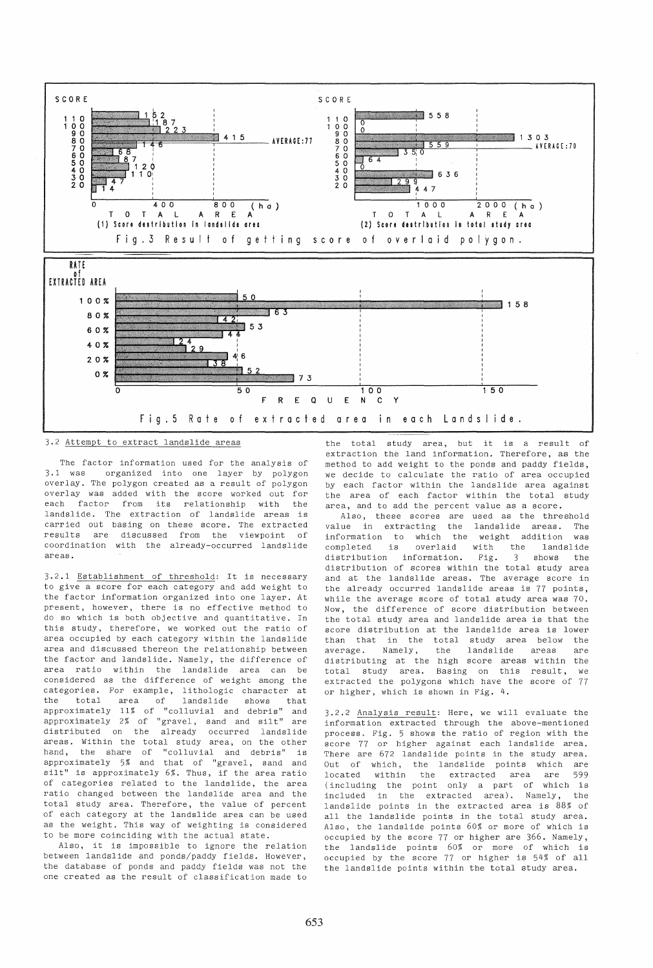

3.2 Attempt to extract landslide areas

The factor information used for the analysis of 3.1 was organized into one layer by polygon overlay. The polygon created as a result of polygon overlay was added with the score worked out for each factor from its relationship with the landslide. The extraction of landslide areas is carried out basing on these score. The extracted results are discussed from the viewpoint of coordination with the already-occurred landslide areas.

3.2.1 Establishment of threshold: It is necessary to give a score for each category and add weight to the factor information organized into one layer. At present, however, there is no effective method to do so which is both objective and quantitative. In this study, therefore, we worked out the ratio of area occupied by each category within the landslide area and discussed thereon the relationship between the factor and landslide. Namely, the difference of area ratio within the landslide area can be considered as the difference of weight among the categories. For example, lithologic character at the total area of landslide shows that approximately 11% of "colluvial and debris" and approximately 2% of "gravel, sand and silt" are distributed on the already occurred landslide areas. Within the total study area, on the other hand, the share of "colluvial and debris" is approximately 5% and that of "gravel, sand and silt" is approximately 6%. Thus, if the area ratio of categories related to the landslide, the area ratio changed between the landslide area and the total study area. Therefore, the value of percent of each category at the landslide area can be used as the weight. This way of weighting is considered to be more coinciding with the actual state.

Also, it is impossible to ignore the relation between landslide and ponds/paddy fields. However, the database of ponds and paddy fields was not the one created as the result of classification made to

the total study area, but it is a result of extraction the land information. Therefore, as the method to add weight to the ponds and paddy fields, we decide to calculate the ratio of area occupied by each factor within the landslide area against the area of each factor within the total study area, and to add the percent value as a score.

Also, these scores are used as the threshold value in extracting the landslide areas. The information to which the weight addition was<br>completed is overlaid with the landslide  $completed$  is overlaid with the land distribution information. Fig. 3 shows distribution information. Fig. 3 shows the distribution of scores within the total study area and at the landslide areas. The average score in the already occurred landslide areas is 77 points, while the average score of total study area was 70. Now, the difference of score distribution between the total study area and landslide area is that the score distribution at the landslide area is lower than that in the total study area below the average. Namely, the landslide areas are distributing at the high score areas within the total study area. Basing on this result, we extracted the polygons which have the score of 77 or higher, which is shown in Fig. 4.

3.2.2 Analysis result: Here, we will evaluate the information extracted through the above-mentioned process. Fig. 5 shows the ratio of region with the score 77 or higher against each landslide area. There are 672 landslide points in the study area. Out of which, the landslide points which are located within the extracted area are 599 (including the point only a part of which is included in the extracted area). Namely, the landslide points in the extracted area is 88% of all the landslide points in the total study area. Also, the landslide points 60% or more of which is occupied by the score 77 or higher are 366. Namely, the landslide points 60% or more of which is occupied by the score 77 or higher is 54% of all the landslide points within the total study area.